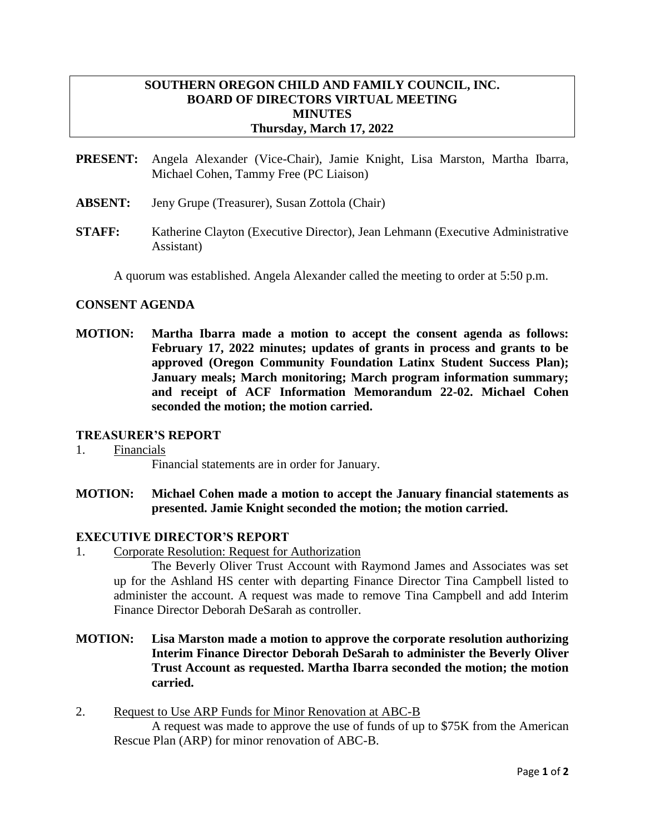# **SOUTHERN OREGON CHILD AND FAMILY COUNCIL, INC. BOARD OF DIRECTORS VIRTUAL MEETING MINUTES Thursday, March 17, 2022**

- **PRESENT:** Angela Alexander (Vice-Chair), Jamie Knight, Lisa Marston, Martha Ibarra, Michael Cohen, Tammy Free (PC Liaison)
- **ABSENT:** Jeny Grupe (Treasurer), Susan Zottola (Chair)
- **STAFF:** Katherine Clayton (Executive Director), Jean Lehmann (Executive Administrative Assistant)

A quorum was established. Angela Alexander called the meeting to order at 5:50 p.m.

#### **CONSENT AGENDA**

**MOTION: Martha Ibarra made a motion to accept the consent agenda as follows: February 17, 2022 minutes; updates of grants in process and grants to be approved (Oregon Community Foundation Latinx Student Success Plan); January meals; March monitoring; March program information summary; and receipt of ACF Information Memorandum 22-02. Michael Cohen seconded the motion; the motion carried.**

#### **TREASURER'S REPORT**

# 1. Financials

Financial statements are in order for January.

**MOTION: Michael Cohen made a motion to accept the January financial statements as presented. Jamie Knight seconded the motion; the motion carried.**

# **EXECUTIVE DIRECTOR'S REPORT**

1. Corporate Resolution: Request for Authorization

The Beverly Oliver Trust Account with Raymond James and Associates was set up for the Ashland HS center with departing Finance Director Tina Campbell listed to administer the account. A request was made to remove Tina Campbell and add Interim Finance Director Deborah DeSarah as controller.

- **MOTION: Lisa Marston made a motion to approve the corporate resolution authorizing Interim Finance Director Deborah DeSarah to administer the Beverly Oliver Trust Account as requested. Martha Ibarra seconded the motion; the motion carried.**
- 2. Request to Use ARP Funds for Minor Renovation at ABC-B A request was made to approve the use of funds of up to \$75K from the American Rescue Plan (ARP) for minor renovation of ABC-B.